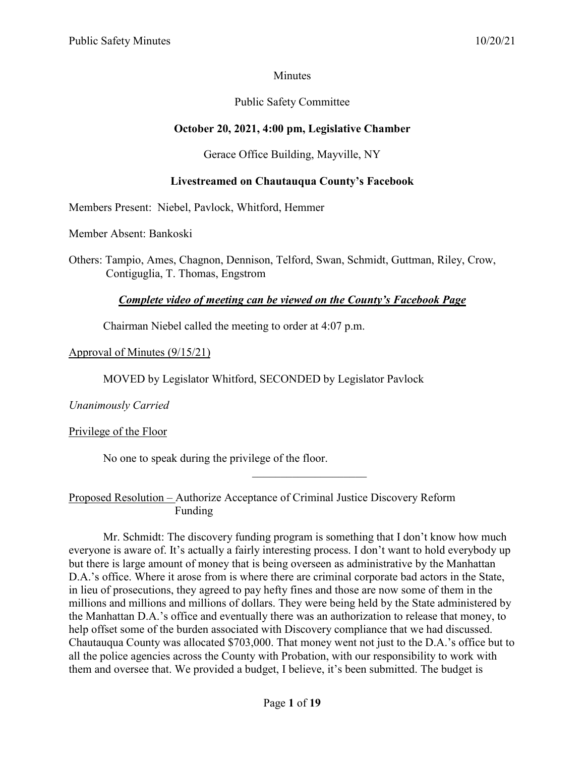## **Minutes**

# Public Safety Committee

# **October 20, 2021, 4:00 pm, Legislative Chamber**

## Gerace Office Building, Mayville, NY

## **Livestreamed on Chautauqua County's Facebook**

Members Present: Niebel, Pavlock, Whitford, Hemmer

Member Absent: Bankoski

Others: Tampio, Ames, Chagnon, Dennison, Telford, Swan, Schmidt, Guttman, Riley, Crow, Contiguglia, T. Thomas, Engstrom

## *Complete video of meeting can be viewed on the County's Facebook Page*

Chairman Niebel called the meeting to order at 4:07 p.m.

## Approval of Minutes (9/15/21)

MOVED by Legislator Whitford, SECONDED by Legislator Pavlock

*Unanimously Carried*

Privilege of the Floor

No one to speak during the privilege of the floor.

Proposed Resolution – Authorize Acceptance of Criminal Justice Discovery Reform Funding

Mr. Schmidt: The discovery funding program is something that I don't know how much everyone is aware of. It's actually a fairly interesting process. I don't want to hold everybody up but there is large amount of money that is being overseen as administrative by the Manhattan D.A.'s office. Where it arose from is where there are criminal corporate bad actors in the State, in lieu of prosecutions, they agreed to pay hefty fines and those are now some of them in the millions and millions and millions of dollars. They were being held by the State administered by the Manhattan D.A.'s office and eventually there was an authorization to release that money, to help offset some of the burden associated with Discovery compliance that we had discussed. Chautauqua County was allocated \$703,000. That money went not just to the D.A.'s office but to all the police agencies across the County with Probation, with our responsibility to work with them and oversee that. We provided a budget, I believe, it's been submitted. The budget is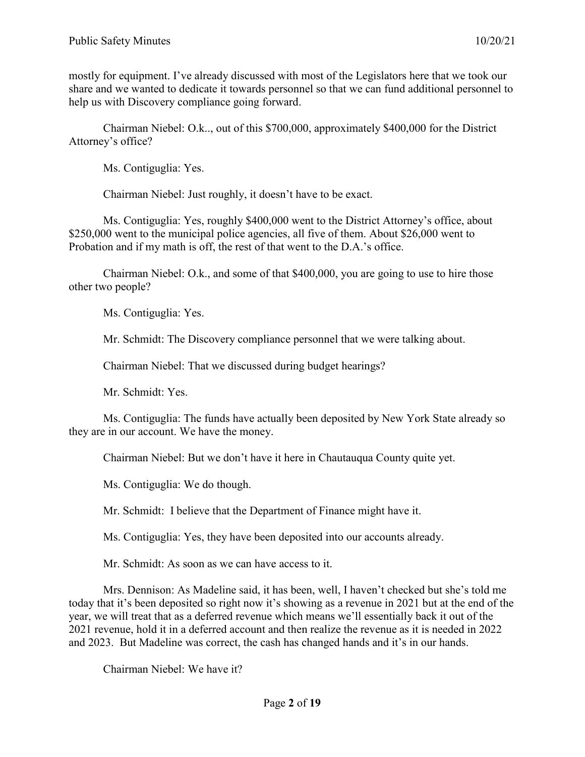mostly for equipment. I've already discussed with most of the Legislators here that we took our share and we wanted to dedicate it towards personnel so that we can fund additional personnel to help us with Discovery compliance going forward.

Chairman Niebel: O.k.., out of this \$700,000, approximately \$400,000 for the District Attorney's office?

Ms. Contiguglia: Yes.

Chairman Niebel: Just roughly, it doesn't have to be exact.

Ms. Contiguglia: Yes, roughly \$400,000 went to the District Attorney's office, about \$250,000 went to the municipal police agencies, all five of them. About \$26,000 went to Probation and if my math is off, the rest of that went to the D.A.'s office.

Chairman Niebel: O.k., and some of that \$400,000, you are going to use to hire those other two people?

Ms. Contiguglia: Yes.

Mr. Schmidt: The Discovery compliance personnel that we were talking about.

Chairman Niebel: That we discussed during budget hearings?

Mr. Schmidt: Yes.

Ms. Contiguglia: The funds have actually been deposited by New York State already so they are in our account. We have the money.

Chairman Niebel: But we don't have it here in Chautauqua County quite yet.

Ms. Contiguglia: We do though.

Mr. Schmidt: I believe that the Department of Finance might have it.

Ms. Contiguglia: Yes, they have been deposited into our accounts already.

Mr. Schmidt: As soon as we can have access to it.

Mrs. Dennison: As Madeline said, it has been, well, I haven't checked but she's told me today that it's been deposited so right now it's showing as a revenue in 2021 but at the end of the year, we will treat that as a deferred revenue which means we'll essentially back it out of the 2021 revenue, hold it in a deferred account and then realize the revenue as it is needed in 2022 and 2023. But Madeline was correct, the cash has changed hands and it's in our hands.

Chairman Niebel: We have it?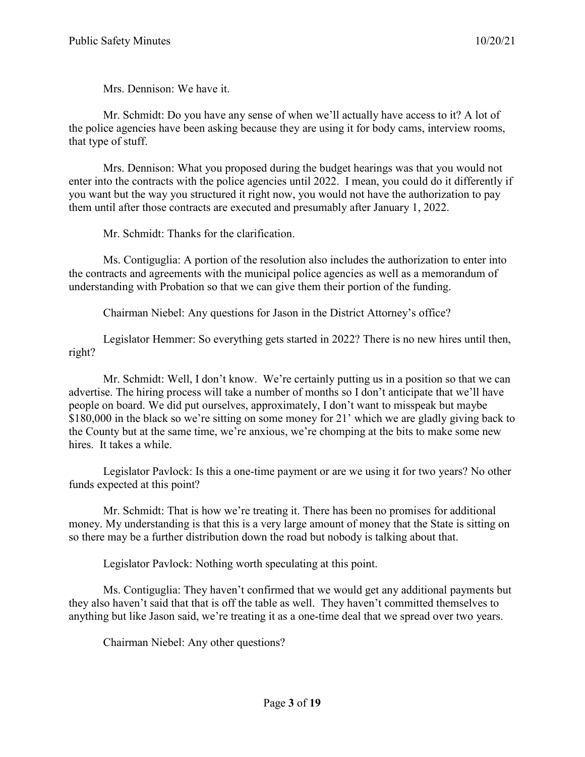Mrs. Dennison: We have it.

Mr. Schmidt: Do you have any sense of when we'll actually have access to it? A lot of the police agencies have been asking because they are using it for body cams, interview rooms, that type of stuff.

Mrs. Dennison: What you proposed during the budget hearings was that you would not enter into the contracts with the police agencies until 2022. I mean, you could do it differently if you want but the way you structured it right now, you would not have the authorization to pay them until after those contracts are executed and presumably after January 1, 2022.

Mr. Schmidt: Thanks for the clarification.

Ms. Contiguglia: A portion of the resolution also includes the authorization to enter into the contracts and agreements with the municipal police agencies as well as a memorandum of understanding with Probation so that we can give them their portion of the funding.

Chairman Niebel: Any questions for Jason in the District Attorney's office?

Legislator Hemmer: So everything gets started in 2022? There is no new hires until then, right?

Mr. Schmidt: Well, I don't know. We're certainly putting us in a position so that we can advertise. The hiring process will take a number of months so I don't anticipate that we'll have people on board. We did put ourselves, approximately, I don't want to misspeak but maybe \$180,000 in the black so we're sitting on some money for 21' which we are gladly giving back to the County but at the same time, we're anxious, we're chomping at the bits to make some new hires. It takes a while.

Legislator Pavlock: Is this a one-time payment or are we using it for two years? No other funds expected at this point?

Mr. Schmidt: That is how we're treating it. There has been no promises for additional money. My understanding is that this is a very large amount of money that the State is sitting on so there may be a further distribution down the road but nobody is talking about that.

Legislator Pavlock: Nothing worth speculating at this point.

Ms. Contiguglia: They haven't confirmed that we would get any additional payments but they also haven't said that that is off the table as well. They haven't committed themselves to anything but like Jason said, we're treating it as a one-time deal that we spread over two years.

Chairman Niebel: Any other questions?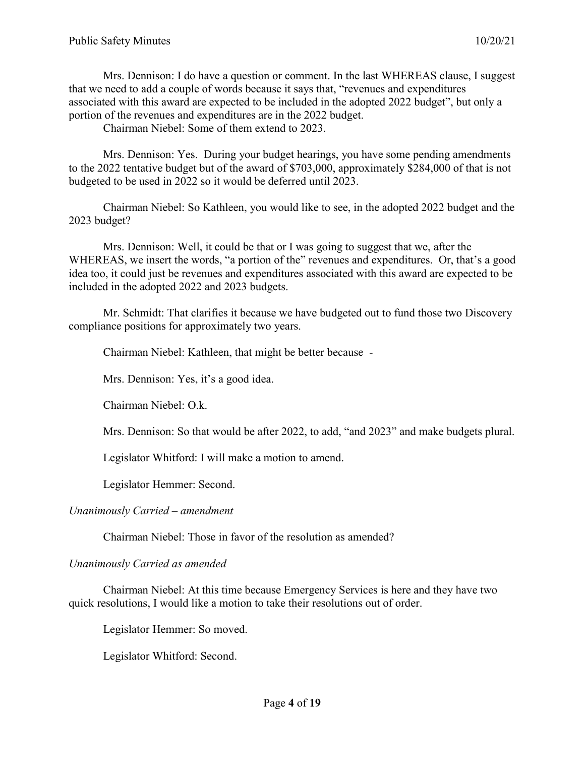Mrs. Dennison: I do have a question or comment. In the last WHEREAS clause, I suggest that we need to add a couple of words because it says that, "revenues and expenditures associated with this award are expected to be included in the adopted 2022 budget", but only a portion of the revenues and expenditures are in the 2022 budget.

Chairman Niebel: Some of them extend to 2023.

Mrs. Dennison: Yes. During your budget hearings, you have some pending amendments to the 2022 tentative budget but of the award of \$703,000, approximately \$284,000 of that is not budgeted to be used in 2022 so it would be deferred until 2023.

Chairman Niebel: So Kathleen, you would like to see, in the adopted 2022 budget and the 2023 budget?

Mrs. Dennison: Well, it could be that or I was going to suggest that we, after the WHEREAS, we insert the words, "a portion of the" revenues and expenditures. Or, that's a good idea too, it could just be revenues and expenditures associated with this award are expected to be included in the adopted 2022 and 2023 budgets.

Mr. Schmidt: That clarifies it because we have budgeted out to fund those two Discovery compliance positions for approximately two years.

Chairman Niebel: Kathleen, that might be better because -

Mrs. Dennison: Yes, it's a good idea.

Chairman Niebel: O.k.

Mrs. Dennison: So that would be after 2022, to add, "and 2023" and make budgets plural.

Legislator Whitford: I will make a motion to amend.

Legislator Hemmer: Second.

#### *Unanimously Carried – amendment*

Chairman Niebel: Those in favor of the resolution as amended?

#### *Unanimously Carried as amended*

Chairman Niebel: At this time because Emergency Services is here and they have two quick resolutions, I would like a motion to take their resolutions out of order.

Legislator Hemmer: So moved.

Legislator Whitford: Second.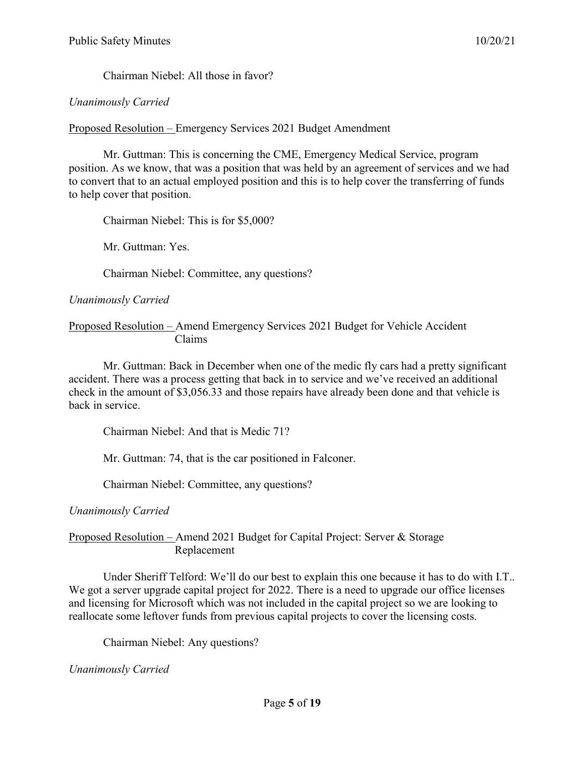Chairman Niebel: All those in favor?

## *Unanimously Carried*

Proposed Resolution – Emergency Services 2021 Budget Amendment

Mr. Guttman: This is concerning the CME, Emergency Medical Service, program position. As we know, that was a position that was held by an agreement of services and we had to convert that to an actual employed position and this is to help cover the transferring of funds to help cover that position.

Chairman Niebel: This is for \$5,000?

Mr. Guttman: Yes.

Chairman Niebel: Committee, any questions?

*Unanimously Carried*

Proposed Resolution – Amend Emergency Services 2021 Budget for Vehicle Accident Claims

Mr. Guttman: Back in December when one of the medic fly cars had a pretty significant accident. There was a process getting that back in to service and we've received an additional check in the amount of \$3,056.33 and those repairs have already been done and that vehicle is back in service.

Chairman Niebel: And that is Medic 71?

Mr. Guttman: 74, that is the car positioned in Falconer.

Chairman Niebel: Committee, any questions?

*Unanimously Carried*

## Proposed Resolution – Amend 2021 Budget for Capital Project: Server & Storage Replacement

Under Sheriff Telford: We'll do our best to explain this one because it has to do with I.T.. We got a server upgrade capital project for 2022. There is a need to upgrade our office licenses and licensing for Microsoft which was not included in the capital project so we are looking to reallocate some leftover funds from previous capital projects to cover the licensing costs.

Chairman Niebel: Any questions?

*Unanimously Carried*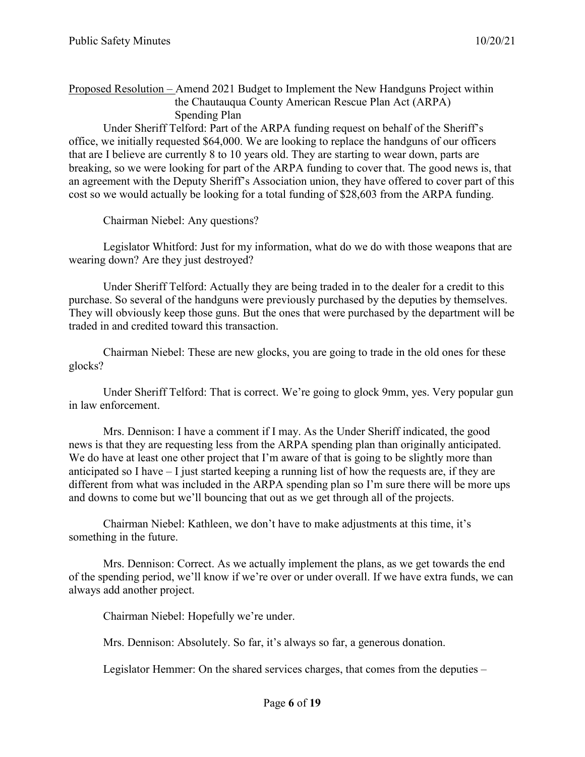Proposed Resolution – Amend 2021 Budget to Implement the New Handguns Project within the Chautauqua County American Rescue Plan Act (ARPA) Spending Plan

Under Sheriff Telford: Part of the ARPA funding request on behalf of the Sheriff's office, we initially requested \$64,000. We are looking to replace the handguns of our officers that are I believe are currently 8 to 10 years old. They are starting to wear down, parts are breaking, so we were looking for part of the ARPA funding to cover that. The good news is, that an agreement with the Deputy Sheriff's Association union, they have offered to cover part of this cost so we would actually be looking for a total funding of \$28,603 from the ARPA funding.

Chairman Niebel: Any questions?

Legislator Whitford: Just for my information, what do we do with those weapons that are wearing down? Are they just destroyed?

Under Sheriff Telford: Actually they are being traded in to the dealer for a credit to this purchase. So several of the handguns were previously purchased by the deputies by themselves. They will obviously keep those guns. But the ones that were purchased by the department will be traded in and credited toward this transaction.

Chairman Niebel: These are new glocks, you are going to trade in the old ones for these glocks?

Under Sheriff Telford: That is correct. We're going to glock 9mm, yes. Very popular gun in law enforcement.

Mrs. Dennison: I have a comment if I may. As the Under Sheriff indicated, the good news is that they are requesting less from the ARPA spending plan than originally anticipated. We do have at least one other project that I'm aware of that is going to be slightly more than anticipated so I have – I just started keeping a running list of how the requests are, if they are different from what was included in the ARPA spending plan so I'm sure there will be more ups and downs to come but we'll bouncing that out as we get through all of the projects.

Chairman Niebel: Kathleen, we don't have to make adjustments at this time, it's something in the future.

Mrs. Dennison: Correct. As we actually implement the plans, as we get towards the end of the spending period, we'll know if we're over or under overall. If we have extra funds, we can always add another project.

Chairman Niebel: Hopefully we're under.

Mrs. Dennison: Absolutely. So far, it's always so far, a generous donation.

Legislator Hemmer: On the shared services charges, that comes from the deputies –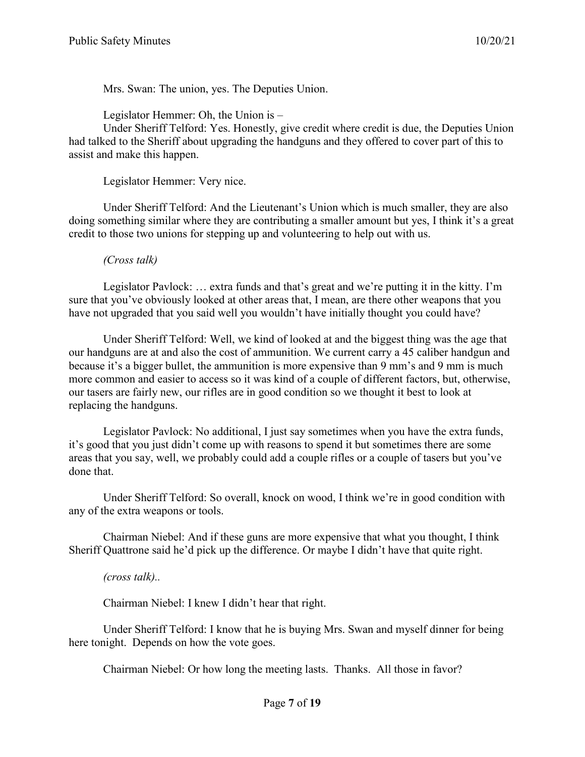Mrs. Swan: The union, yes. The Deputies Union.

Legislator Hemmer: Oh, the Union is –

Under Sheriff Telford: Yes. Honestly, give credit where credit is due, the Deputies Union had talked to the Sheriff about upgrading the handguns and they offered to cover part of this to assist and make this happen.

Legislator Hemmer: Very nice.

Under Sheriff Telford: And the Lieutenant's Union which is much smaller, they are also doing something similar where they are contributing a smaller amount but yes, I think it's a great credit to those two unions for stepping up and volunteering to help out with us.

*(Cross talk)*

Legislator Pavlock: … extra funds and that's great and we're putting it in the kitty. I'm sure that you've obviously looked at other areas that, I mean, are there other weapons that you have not upgraded that you said well you wouldn't have initially thought you could have?

Under Sheriff Telford: Well, we kind of looked at and the biggest thing was the age that our handguns are at and also the cost of ammunition. We current carry a 45 caliber handgun and because it's a bigger bullet, the ammunition is more expensive than 9 mm's and 9 mm is much more common and easier to access so it was kind of a couple of different factors, but, otherwise, our tasers are fairly new, our rifles are in good condition so we thought it best to look at replacing the handguns.

Legislator Pavlock: No additional, I just say sometimes when you have the extra funds, it's good that you just didn't come up with reasons to spend it but sometimes there are some areas that you say, well, we probably could add a couple rifles or a couple of tasers but you've done that.

Under Sheriff Telford: So overall, knock on wood, I think we're in good condition with any of the extra weapons or tools.

Chairman Niebel: And if these guns are more expensive that what you thought, I think Sheriff Quattrone said he'd pick up the difference. Or maybe I didn't have that quite right.

*(cross talk)..*

Chairman Niebel: I knew I didn't hear that right.

Under Sheriff Telford: I know that he is buying Mrs. Swan and myself dinner for being here tonight. Depends on how the vote goes.

Chairman Niebel: Or how long the meeting lasts. Thanks. All those in favor?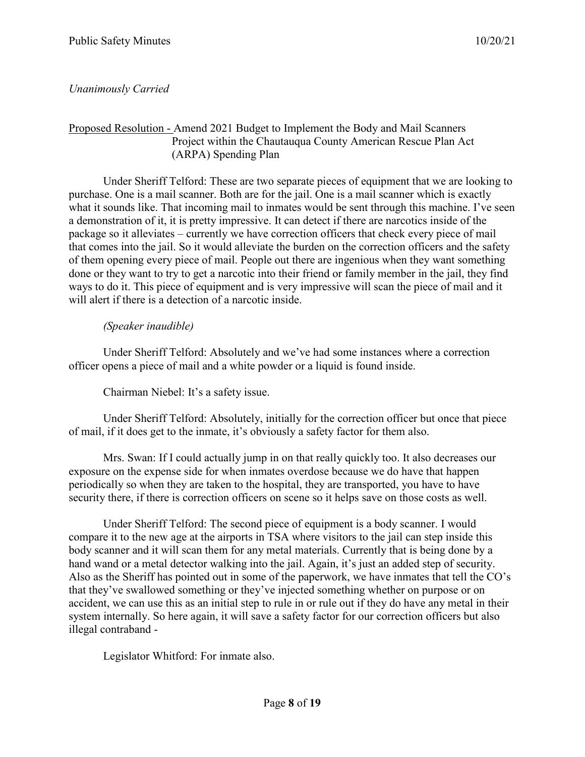# *Unanimously Carried*

## Proposed Resolution - Amend 2021 Budget to Implement the Body and Mail Scanners Project within the Chautauqua County American Rescue Plan Act (ARPA) Spending Plan

Under Sheriff Telford: These are two separate pieces of equipment that we are looking to purchase. One is a mail scanner. Both are for the jail. One is a mail scanner which is exactly what it sounds like. That incoming mail to inmates would be sent through this machine. I've seen a demonstration of it, it is pretty impressive. It can detect if there are narcotics inside of the package so it alleviates – currently we have correction officers that check every piece of mail that comes into the jail. So it would alleviate the burden on the correction officers and the safety of them opening every piece of mail. People out there are ingenious when they want something done or they want to try to get a narcotic into their friend or family member in the jail, they find ways to do it. This piece of equipment and is very impressive will scan the piece of mail and it will alert if there is a detection of a narcotic inside.

## *(Speaker inaudible)*

Under Sheriff Telford: Absolutely and we've had some instances where a correction officer opens a piece of mail and a white powder or a liquid is found inside.

Chairman Niebel: It's a safety issue.

Under Sheriff Telford: Absolutely, initially for the correction officer but once that piece of mail, if it does get to the inmate, it's obviously a safety factor for them also.

Mrs. Swan: If I could actually jump in on that really quickly too. It also decreases our exposure on the expense side for when inmates overdose because we do have that happen periodically so when they are taken to the hospital, they are transported, you have to have security there, if there is correction officers on scene so it helps save on those costs as well.

Under Sheriff Telford: The second piece of equipment is a body scanner. I would compare it to the new age at the airports in TSA where visitors to the jail can step inside this body scanner and it will scan them for any metal materials. Currently that is being done by a hand wand or a metal detector walking into the jail. Again, it's just an added step of security. Also as the Sheriff has pointed out in some of the paperwork, we have inmates that tell the CO's that they've swallowed something or they've injected something whether on purpose or on accident, we can use this as an initial step to rule in or rule out if they do have any metal in their system internally. So here again, it will save a safety factor for our correction officers but also illegal contraband -

Legislator Whitford: For inmate also.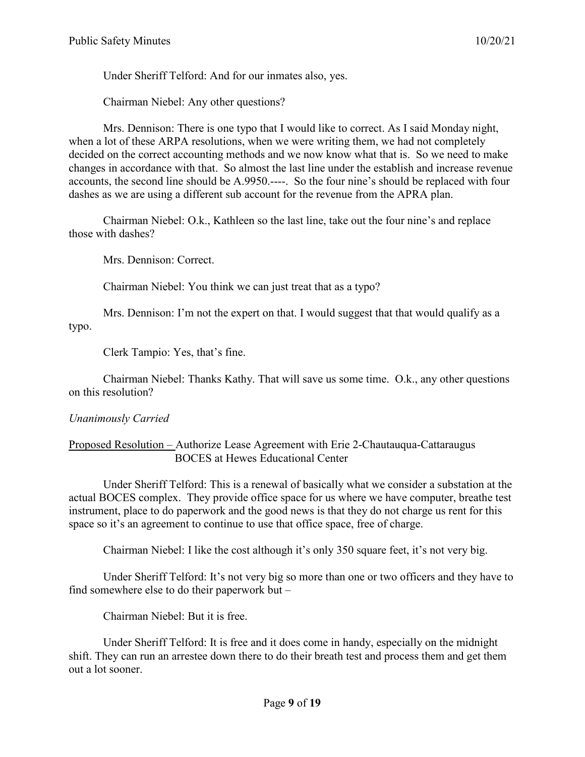Under Sheriff Telford: And for our inmates also, yes.

Chairman Niebel: Any other questions?

Mrs. Dennison: There is one typo that I would like to correct. As I said Monday night, when a lot of these ARPA resolutions, when we were writing them, we had not completely decided on the correct accounting methods and we now know what that is. So we need to make changes in accordance with that. So almost the last line under the establish and increase revenue accounts, the second line should be A.9950.----. So the four nine's should be replaced with four dashes as we are using a different sub account for the revenue from the APRA plan.

Chairman Niebel: O.k., Kathleen so the last line, take out the four nine's and replace those with dashes?

Mrs. Dennison: Correct.

Chairman Niebel: You think we can just treat that as a typo?

Mrs. Dennison: I'm not the expert on that. I would suggest that that would qualify as a typo.

Clerk Tampio: Yes, that's fine.

Chairman Niebel: Thanks Kathy. That will save us some time. O.k., any other questions on this resolution?

# *Unanimously Carried*

## Proposed Resolution – Authorize Lease Agreement with Erie 2-Chautauqua-Cattaraugus BOCES at Hewes Educational Center

Under Sheriff Telford: This is a renewal of basically what we consider a substation at the actual BOCES complex. They provide office space for us where we have computer, breathe test instrument, place to do paperwork and the good news is that they do not charge us rent for this space so it's an agreement to continue to use that office space, free of charge.

Chairman Niebel: I like the cost although it's only 350 square feet, it's not very big.

Under Sheriff Telford: It's not very big so more than one or two officers and they have to find somewhere else to do their paperwork but –

Chairman Niebel: But it is free.

Under Sheriff Telford: It is free and it does come in handy, especially on the midnight shift. They can run an arrestee down there to do their breath test and process them and get them out a lot sooner.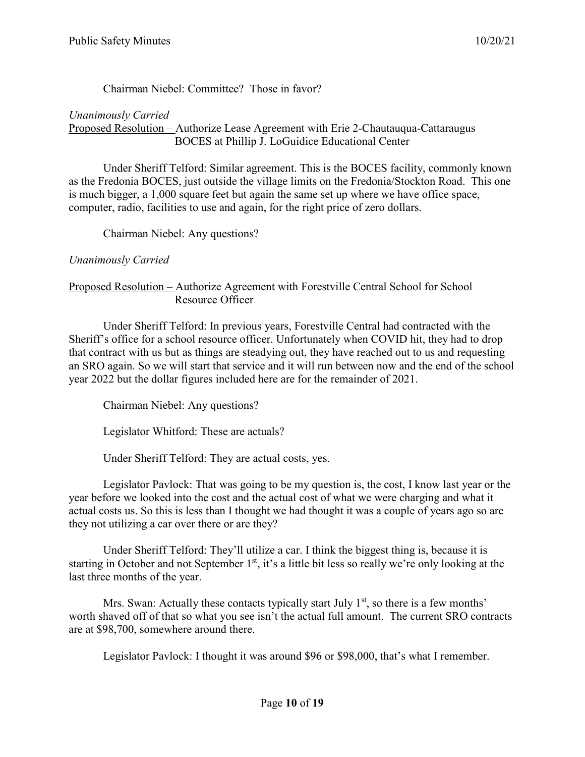## Chairman Niebel: Committee? Those in favor?

## *Unanimously Carried*

Proposed Resolution – Authorize Lease Agreement with Erie 2-Chautauqua-Cattaraugus BOCES at Phillip J. LoGuidice Educational Center

Under Sheriff Telford: Similar agreement. This is the BOCES facility, commonly known as the Fredonia BOCES, just outside the village limits on the Fredonia/Stockton Road. This one is much bigger, a 1,000 square feet but again the same set up where we have office space, computer, radio, facilities to use and again, for the right price of zero dollars.

Chairman Niebel: Any questions?

## *Unanimously Carried*

## Proposed Resolution – Authorize Agreement with Forestville Central School for School Resource Officer

Under Sheriff Telford: In previous years, Forestville Central had contracted with the Sheriff's office for a school resource officer. Unfortunately when COVID hit, they had to drop that contract with us but as things are steadying out, they have reached out to us and requesting an SRO again. So we will start that service and it will run between now and the end of the school year 2022 but the dollar figures included here are for the remainder of 2021.

Chairman Niebel: Any questions?

Legislator Whitford: These are actuals?

Under Sheriff Telford: They are actual costs, yes.

Legislator Pavlock: That was going to be my question is, the cost, I know last year or the year before we looked into the cost and the actual cost of what we were charging and what it actual costs us. So this is less than I thought we had thought it was a couple of years ago so are they not utilizing a car over there or are they?

Under Sheriff Telford: They'll utilize a car. I think the biggest thing is, because it is starting in October and not September 1<sup>st</sup>, it's a little bit less so really we're only looking at the last three months of the year.

Mrs. Swan: Actually these contacts typically start July  $1<sup>st</sup>$ , so there is a few months' worth shaved off of that so what you see isn't the actual full amount. The current SRO contracts are at \$98,700, somewhere around there.

Legislator Pavlock: I thought it was around \$96 or \$98,000, that's what I remember.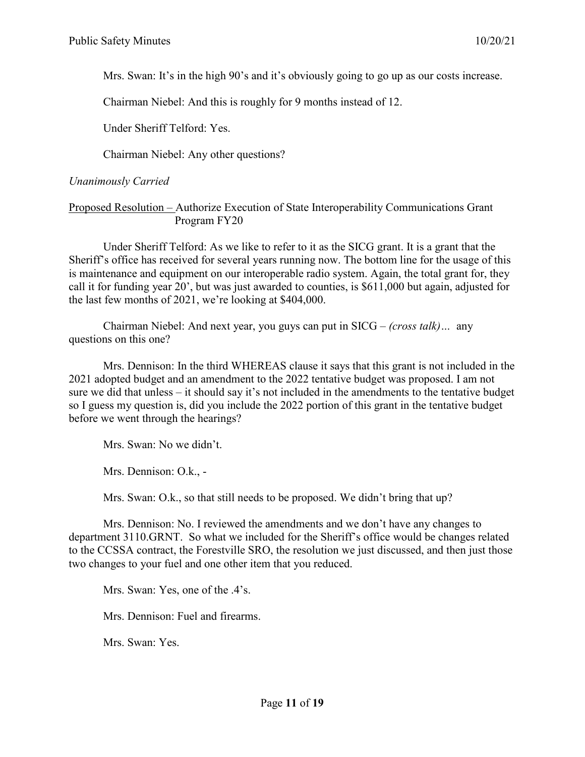Mrs. Swan: It's in the high 90's and it's obviously going to go up as our costs increase.

Chairman Niebel: And this is roughly for 9 months instead of 12.

Under Sheriff Telford: Yes.

Chairman Niebel: Any other questions?

## *Unanimously Carried*

Proposed Resolution – Authorize Execution of State Interoperability Communications Grant Program FY20

Under Sheriff Telford: As we like to refer to it as the SICG grant. It is a grant that the Sheriff's office has received for several years running now. The bottom line for the usage of this is maintenance and equipment on our interoperable radio system. Again, the total grant for, they call it for funding year 20', but was just awarded to counties, is \$611,000 but again, adjusted for the last few months of 2021, we're looking at \$404,000.

Chairman Niebel: And next year, you guys can put in SICG – *(cross talk)…* any questions on this one?

Mrs. Dennison: In the third WHEREAS clause it says that this grant is not included in the 2021 adopted budget and an amendment to the 2022 tentative budget was proposed. I am not sure we did that unless – it should say it's not included in the amendments to the tentative budget so I guess my question is, did you include the 2022 portion of this grant in the tentative budget before we went through the hearings?

Mrs. Swan: No we didn't.

Mrs. Dennison: O.k., -

Mrs. Swan: O.k., so that still needs to be proposed. We didn't bring that up?

Mrs. Dennison: No. I reviewed the amendments and we don't have any changes to department 3110.GRNT. So what we included for the Sheriff's office would be changes related to the CCSSA contract, the Forestville SRO, the resolution we just discussed, and then just those two changes to your fuel and one other item that you reduced.

Mrs. Swan: Yes, one of the .4's.

Mrs. Dennison: Fuel and firearms.

Mrs. Swan: Yes.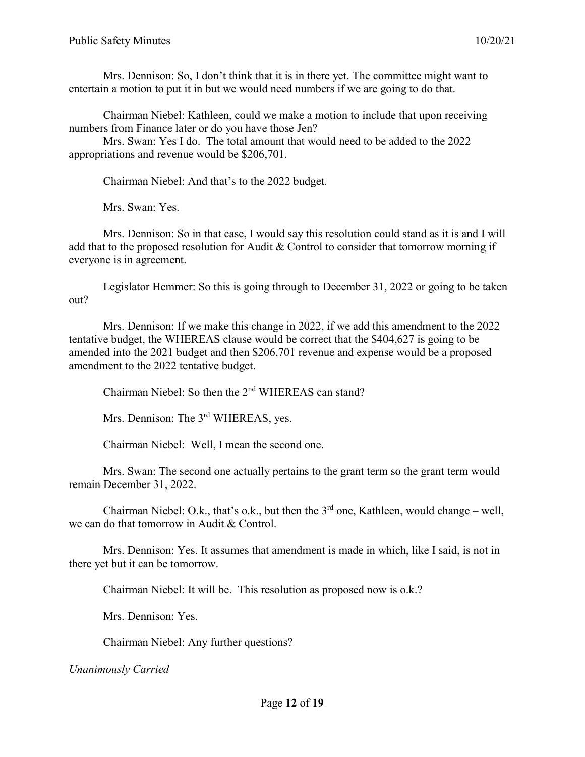Mrs. Dennison: So, I don't think that it is in there yet. The committee might want to entertain a motion to put it in but we would need numbers if we are going to do that.

Chairman Niebel: Kathleen, could we make a motion to include that upon receiving numbers from Finance later or do you have those Jen?

Mrs. Swan: Yes I do. The total amount that would need to be added to the 2022 appropriations and revenue would be \$206,701.

Chairman Niebel: And that's to the 2022 budget.

Mrs. Swan: Yes.

Mrs. Dennison: So in that case, I would say this resolution could stand as it is and I will add that to the proposed resolution for Audit & Control to consider that tomorrow morning if everyone is in agreement.

Legislator Hemmer: So this is going through to December 31, 2022 or going to be taken out?

Mrs. Dennison: If we make this change in 2022, if we add this amendment to the 2022 tentative budget, the WHEREAS clause would be correct that the \$404,627 is going to be amended into the 2021 budget and then \$206,701 revenue and expense would be a proposed amendment to the 2022 tentative budget.

Chairman Niebel: So then the 2nd WHEREAS can stand?

Mrs. Dennison: The 3<sup>rd</sup> WHEREAS, yes.

Chairman Niebel: Well, I mean the second one.

Mrs. Swan: The second one actually pertains to the grant term so the grant term would remain December 31, 2022.

Chairman Niebel: O.k., that's o.k., but then the  $3<sup>rd</sup>$  one, Kathleen, would change – well, we can do that tomorrow in Audit & Control.

Mrs. Dennison: Yes. It assumes that amendment is made in which, like I said, is not in there yet but it can be tomorrow.

Chairman Niebel: It will be. This resolution as proposed now is o.k.?

Mrs. Dennison: Yes.

Chairman Niebel: Any further questions?

*Unanimously Carried*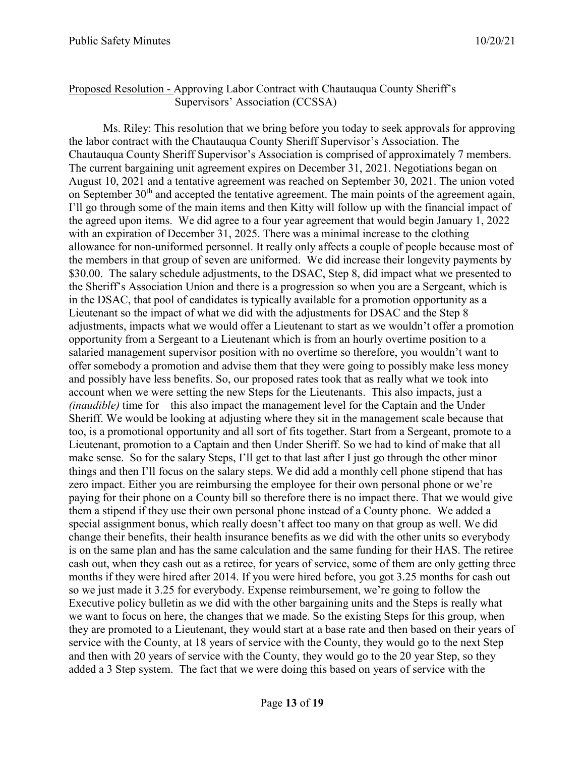#### Proposed Resolution - Approving Labor Contract with Chautauqua County Sheriff's Supervisors' Association (CCSSA)

Ms. Riley: This resolution that we bring before you today to seek approvals for approving the labor contract with the Chautauqua County Sheriff Supervisor's Association. The Chautauqua County Sheriff Supervisor's Association is comprised of approximately 7 members. The current bargaining unit agreement expires on December 31, 2021. Negotiations began on August 10, 2021 and a tentative agreement was reached on September 30, 2021. The union voted on September 30<sup>th</sup> and accepted the tentative agreement. The main points of the agreement again, I'll go through some of the main items and then Kitty will follow up with the financial impact of the agreed upon items. We did agree to a four year agreement that would begin January 1, 2022 with an expiration of December 31, 2025. There was a minimal increase to the clothing allowance for non-uniformed personnel. It really only affects a couple of people because most of the members in that group of seven are uniformed. We did increase their longevity payments by \$30.00. The salary schedule adjustments, to the DSAC, Step 8, did impact what we presented to the Sheriff's Association Union and there is a progression so when you are a Sergeant, which is in the DSAC, that pool of candidates is typically available for a promotion opportunity as a Lieutenant so the impact of what we did with the adjustments for DSAC and the Step 8 adjustments, impacts what we would offer a Lieutenant to start as we wouldn't offer a promotion opportunity from a Sergeant to a Lieutenant which is from an hourly overtime position to a salaried management supervisor position with no overtime so therefore, you wouldn't want to offer somebody a promotion and advise them that they were going to possibly make less money and possibly have less benefits. So, our proposed rates took that as really what we took into account when we were setting the new Steps for the Lieutenants. This also impacts, just a *(inaudible)* time for – this also impact the management level for the Captain and the Under Sheriff. We would be looking at adjusting where they sit in the management scale because that too, is a promotional opportunity and all sort of fits together. Start from a Sergeant, promote to a Lieutenant, promotion to a Captain and then Under Sheriff. So we had to kind of make that all make sense. So for the salary Steps, I'll get to that last after I just go through the other minor things and then I'll focus on the salary steps. We did add a monthly cell phone stipend that has zero impact. Either you are reimbursing the employee for their own personal phone or we're paying for their phone on a County bill so therefore there is no impact there. That we would give them a stipend if they use their own personal phone instead of a County phone. We added a special assignment bonus, which really doesn't affect too many on that group as well. We did change their benefits, their health insurance benefits as we did with the other units so everybody is on the same plan and has the same calculation and the same funding for their HAS. The retiree cash out, when they cash out as a retiree, for years of service, some of them are only getting three months if they were hired after 2014. If you were hired before, you got 3.25 months for cash out so we just made it 3.25 for everybody. Expense reimbursement, we're going to follow the Executive policy bulletin as we did with the other bargaining units and the Steps is really what we want to focus on here, the changes that we made. So the existing Steps for this group, when they are promoted to a Lieutenant, they would start at a base rate and then based on their years of service with the County, at 18 years of service with the County, they would go to the next Step and then with 20 years of service with the County, they would go to the 20 year Step, so they added a 3 Step system. The fact that we were doing this based on years of service with the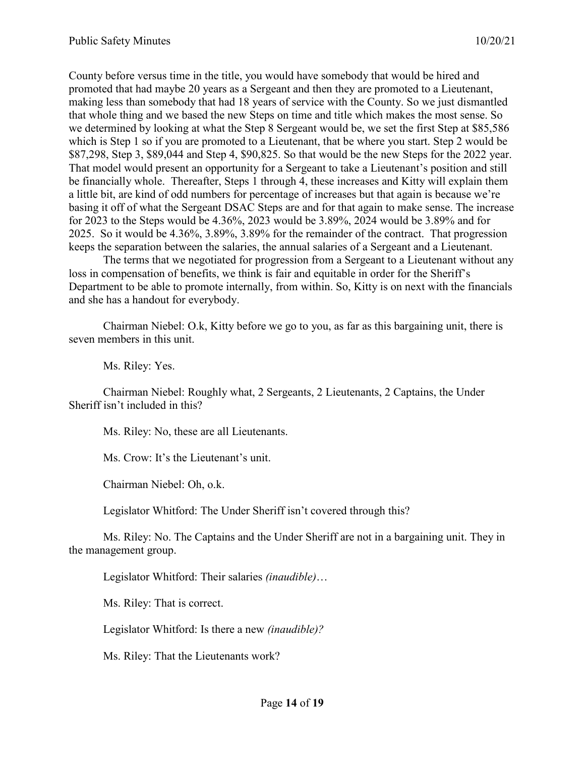County before versus time in the title, you would have somebody that would be hired and promoted that had maybe 20 years as a Sergeant and then they are promoted to a Lieutenant, making less than somebody that had 18 years of service with the County. So we just dismantled that whole thing and we based the new Steps on time and title which makes the most sense. So we determined by looking at what the Step 8 Sergeant would be, we set the first Step at \$85,586 which is Step 1 so if you are promoted to a Lieutenant, that be where you start. Step 2 would be \$87,298, Step 3, \$89,044 and Step 4, \$90,825. So that would be the new Steps for the 2022 year. That model would present an opportunity for a Sergeant to take a Lieutenant's position and still be financially whole. Thereafter, Steps 1 through 4, these increases and Kitty will explain them a little bit, are kind of odd numbers for percentage of increases but that again is because we're basing it off of what the Sergeant DSAC Steps are and for that again to make sense. The increase for 2023 to the Steps would be 4.36%, 2023 would be 3.89%, 2024 would be 3.89% and for 2025. So it would be 4.36%, 3.89%, 3.89% for the remainder of the contract. That progression keeps the separation between the salaries, the annual salaries of a Sergeant and a Lieutenant.

The terms that we negotiated for progression from a Sergeant to a Lieutenant without any loss in compensation of benefits, we think is fair and equitable in order for the Sheriff's Department to be able to promote internally, from within. So, Kitty is on next with the financials and she has a handout for everybody.

Chairman Niebel: O.k, Kitty before we go to you, as far as this bargaining unit, there is seven members in this unit.

Ms. Riley: Yes.

Chairman Niebel: Roughly what, 2 Sergeants, 2 Lieutenants, 2 Captains, the Under Sheriff isn't included in this?

Ms. Riley: No, these are all Lieutenants.

Ms. Crow: It's the Lieutenant's unit.

Chairman Niebel: Oh, o.k.

Legislator Whitford: The Under Sheriff isn't covered through this?

Ms. Riley: No. The Captains and the Under Sheriff are not in a bargaining unit. They in the management group.

Legislator Whitford: Their salaries *(inaudible)*…

Ms. Riley: That is correct.

Legislator Whitford: Is there a new *(inaudible)?*

Ms. Riley: That the Lieutenants work?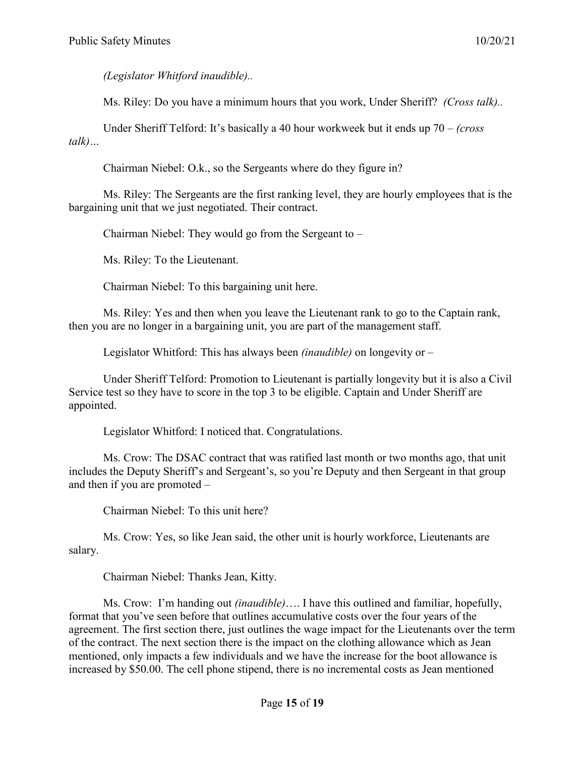*(Legislator Whitford inaudible)..*

Ms. Riley: Do you have a minimum hours that you work, Under Sheriff? *(Cross talk)..*

Under Sheriff Telford: It's basically a 40 hour workweek but it ends up 70 – *(cross talk)…*

Chairman Niebel: O.k., so the Sergeants where do they figure in?

Ms. Riley: The Sergeants are the first ranking level, they are hourly employees that is the bargaining unit that we just negotiated. Their contract.

Chairman Niebel: They would go from the Sergeant to –

Ms. Riley: To the Lieutenant.

Chairman Niebel: To this bargaining unit here.

Ms. Riley: Yes and then when you leave the Lieutenant rank to go to the Captain rank, then you are no longer in a bargaining unit, you are part of the management staff.

Legislator Whitford: This has always been *(inaudible)* on longevity or –

Under Sheriff Telford: Promotion to Lieutenant is partially longevity but it is also a Civil Service test so they have to score in the top 3 to be eligible. Captain and Under Sheriff are appointed.

Legislator Whitford: I noticed that. Congratulations.

Ms. Crow: The DSAC contract that was ratified last month or two months ago, that unit includes the Deputy Sheriff's and Sergeant's, so you're Deputy and then Sergeant in that group and then if you are promoted –

Chairman Niebel: To this unit here?

Ms. Crow: Yes, so like Jean said, the other unit is hourly workforce, Lieutenants are salary.

Chairman Niebel: Thanks Jean, Kitty.

Ms. Crow: I'm handing out *(inaudible)*…. I have this outlined and familiar, hopefully, format that you've seen before that outlines accumulative costs over the four years of the agreement. The first section there, just outlines the wage impact for the Lieutenants over the term of the contract. The next section there is the impact on the clothing allowance which as Jean mentioned, only impacts a few individuals and we have the increase for the boot allowance is increased by \$50.00. The cell phone stipend, there is no incremental costs as Jean mentioned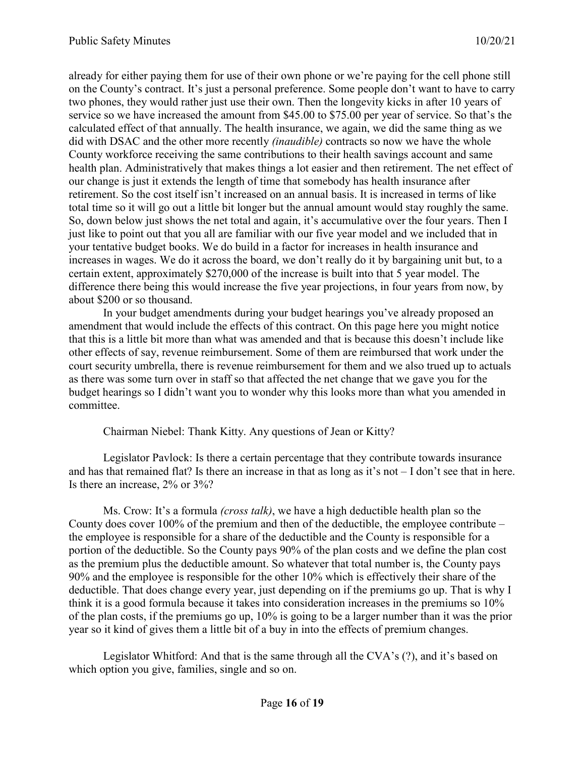already for either paying them for use of their own phone or we're paying for the cell phone still on the County's contract. It's just a personal preference. Some people don't want to have to carry two phones, they would rather just use their own. Then the longevity kicks in after 10 years of service so we have increased the amount from \$45.00 to \$75.00 per year of service. So that's the calculated effect of that annually. The health insurance, we again, we did the same thing as we did with DSAC and the other more recently *(inaudible)* contracts so now we have the whole County workforce receiving the same contributions to their health savings account and same health plan. Administratively that makes things a lot easier and then retirement. The net effect of our change is just it extends the length of time that somebody has health insurance after retirement. So the cost itself isn't increased on an annual basis. It is increased in terms of like total time so it will go out a little bit longer but the annual amount would stay roughly the same. So, down below just shows the net total and again, it's accumulative over the four years. Then I just like to point out that you all are familiar with our five year model and we included that in your tentative budget books. We do build in a factor for increases in health insurance and increases in wages. We do it across the board, we don't really do it by bargaining unit but, to a certain extent, approximately \$270,000 of the increase is built into that 5 year model. The difference there being this would increase the five year projections, in four years from now, by about \$200 or so thousand.

In your budget amendments during your budget hearings you've already proposed an amendment that would include the effects of this contract. On this page here you might notice that this is a little bit more than what was amended and that is because this doesn't include like other effects of say, revenue reimbursement. Some of them are reimbursed that work under the court security umbrella, there is revenue reimbursement for them and we also trued up to actuals as there was some turn over in staff so that affected the net change that we gave you for the budget hearings so I didn't want you to wonder why this looks more than what you amended in committee.

Chairman Niebel: Thank Kitty. Any questions of Jean or Kitty?

Legislator Pavlock: Is there a certain percentage that they contribute towards insurance and has that remained flat? Is there an increase in that as long as it's not – I don't see that in here. Is there an increase, 2% or 3%?

Ms. Crow: It's a formula *(cross talk)*, we have a high deductible health plan so the County does cover 100% of the premium and then of the deductible, the employee contribute – the employee is responsible for a share of the deductible and the County is responsible for a portion of the deductible. So the County pays 90% of the plan costs and we define the plan cost as the premium plus the deductible amount. So whatever that total number is, the County pays 90% and the employee is responsible for the other 10% which is effectively their share of the deductible. That does change every year, just depending on if the premiums go up. That is why I think it is a good formula because it takes into consideration increases in the premiums so 10% of the plan costs, if the premiums go up, 10% is going to be a larger number than it was the prior year so it kind of gives them a little bit of a buy in into the effects of premium changes.

Legislator Whitford: And that is the same through all the CVA's (?), and it's based on which option you give, families, single and so on.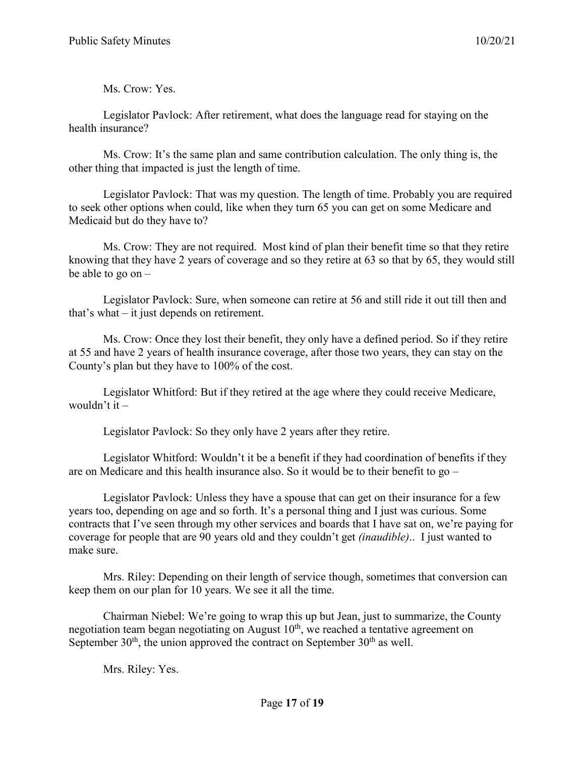Ms. Crow: Yes.

Legislator Pavlock: After retirement, what does the language read for staying on the health insurance?

Ms. Crow: It's the same plan and same contribution calculation. The only thing is, the other thing that impacted is just the length of time.

Legislator Pavlock: That was my question. The length of time. Probably you are required to seek other options when could, like when they turn 65 you can get on some Medicare and Medicaid but do they have to?

Ms. Crow: They are not required. Most kind of plan their benefit time so that they retire knowing that they have 2 years of coverage and so they retire at 63 so that by 65, they would still be able to go on –

Legislator Pavlock: Sure, when someone can retire at 56 and still ride it out till then and that's what – it just depends on retirement.

Ms. Crow: Once they lost their benefit, they only have a defined period. So if they retire at 55 and have 2 years of health insurance coverage, after those two years, they can stay on the County's plan but they have to 100% of the cost.

Legislator Whitford: But if they retired at the age where they could receive Medicare, wouldn't it –

Legislator Pavlock: So they only have 2 years after they retire.

Legislator Whitford: Wouldn't it be a benefit if they had coordination of benefits if they are on Medicare and this health insurance also. So it would be to their benefit to go –

Legislator Pavlock: Unless they have a spouse that can get on their insurance for a few years too, depending on age and so forth. It's a personal thing and I just was curious. Some contracts that I've seen through my other services and boards that I have sat on, we're paying for coverage for people that are 90 years old and they couldn't get *(inaudible)*.. I just wanted to make sure.

Mrs. Riley: Depending on their length of service though, sometimes that conversion can keep them on our plan for 10 years. We see it all the time.

Chairman Niebel: We're going to wrap this up but Jean, just to summarize, the County negotiation team began negotiating on August 10<sup>th</sup>, we reached a tentative agreement on September  $30<sup>th</sup>$ , the union approved the contract on September  $30<sup>th</sup>$  as well.

Mrs. Riley: Yes.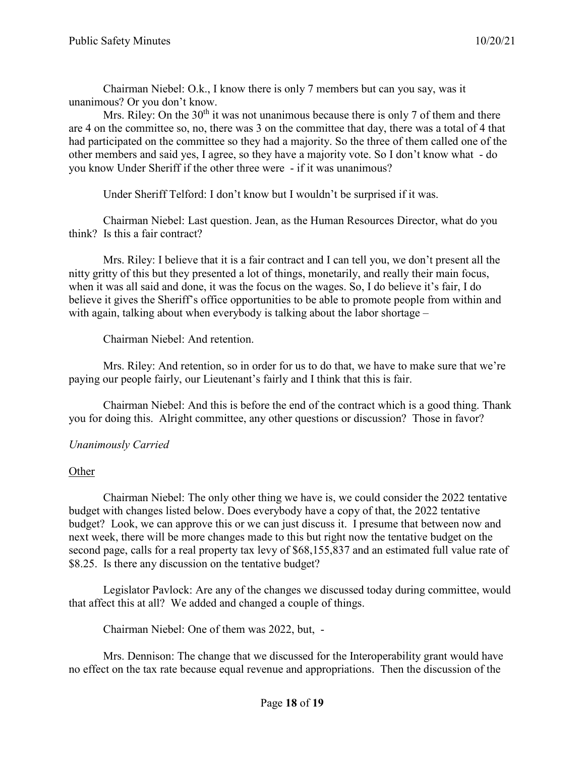Chairman Niebel: O.k., I know there is only 7 members but can you say, was it unanimous? Or you don't know.

Mrs. Riley: On the  $30<sup>th</sup>$  it was not unanimous because there is only 7 of them and there are 4 on the committee so, no, there was 3 on the committee that day, there was a total of 4 that had participated on the committee so they had a majority. So the three of them called one of the other members and said yes, I agree, so they have a majority vote. So I don't know what - do you know Under Sheriff if the other three were - if it was unanimous?

Under Sheriff Telford: I don't know but I wouldn't be surprised if it was.

Chairman Niebel: Last question. Jean, as the Human Resources Director, what do you think? Is this a fair contract?

Mrs. Riley: I believe that it is a fair contract and I can tell you, we don't present all the nitty gritty of this but they presented a lot of things, monetarily, and really their main focus, when it was all said and done, it was the focus on the wages. So, I do believe it's fair, I do believe it gives the Sheriff's office opportunities to be able to promote people from within and with again, talking about when everybody is talking about the labor shortage –

Chairman Niebel: And retention.

Mrs. Riley: And retention, so in order for us to do that, we have to make sure that we're paying our people fairly, our Lieutenant's fairly and I think that this is fair.

Chairman Niebel: And this is before the end of the contract which is a good thing. Thank you for doing this. Alright committee, any other questions or discussion? Those in favor?

## *Unanimously Carried*

## Other

Chairman Niebel: The only other thing we have is, we could consider the 2022 tentative budget with changes listed below. Does everybody have a copy of that, the 2022 tentative budget? Look, we can approve this or we can just discuss it. I presume that between now and next week, there will be more changes made to this but right now the tentative budget on the second page, calls for a real property tax levy of \$68,155,837 and an estimated full value rate of \$8.25. Is there any discussion on the tentative budget?

Legislator Pavlock: Are any of the changes we discussed today during committee, would that affect this at all? We added and changed a couple of things.

Chairman Niebel: One of them was 2022, but, -

Mrs. Dennison: The change that we discussed for the Interoperability grant would have no effect on the tax rate because equal revenue and appropriations. Then the discussion of the